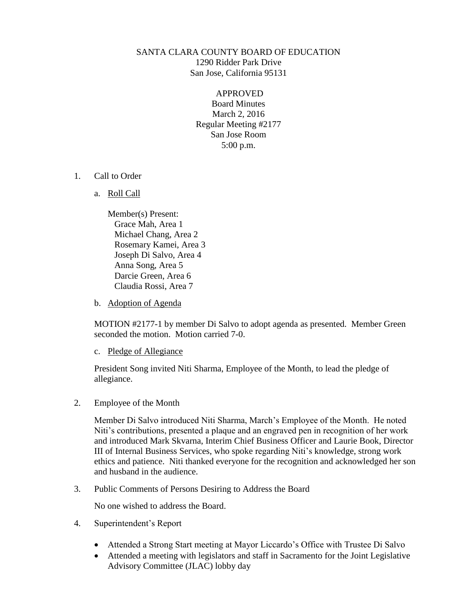# SANTA CLARA COUNTY BOARD OF EDUCATION 1290 Ridder Park Drive San Jose, California 95131

APPROVED Board Minutes March 2, 2016 Regular Meeting #2177 San Jose Room 5:00 p.m.

- 1. Call to Order
	- a. Roll Call

Member(s) Present: Grace Mah, Area 1 Michael Chang, Area 2 Rosemary Kamei, Area 3 Joseph Di Salvo, Area 4 Anna Song, Area 5 Darcie Green, Area 6 Claudia Rossi, Area 7

b. Adoption of Agenda

MOTION #2177-1 by member Di Salvo to adopt agenda as presented. Member Green seconded the motion. Motion carried 7-0.

c. Pledge of Allegiance

President Song invited Niti Sharma, Employee of the Month, to lead the pledge of allegiance.

2. Employee of the Month

Member Di Salvo introduced Niti Sharma, March's Employee of the Month. He noted Niti's contributions, presented a plaque and an engraved pen in recognition of her work and introduced Mark Skvarna, Interim Chief Business Officer and Laurie Book, Director III of Internal Business Services, who spoke regarding Niti's knowledge, strong work ethics and patience. Niti thanked everyone for the recognition and acknowledged her son and husband in the audience.

3. Public Comments of Persons Desiring to Address the Board

No one wished to address the Board.

- 4. Superintendent's Report
	- Attended a Strong Start meeting at Mayor Liccardo's Office with Trustee Di Salvo
	- Attended a meeting with legislators and staff in Sacramento for the Joint Legislative Advisory Committee (JLAC) lobby day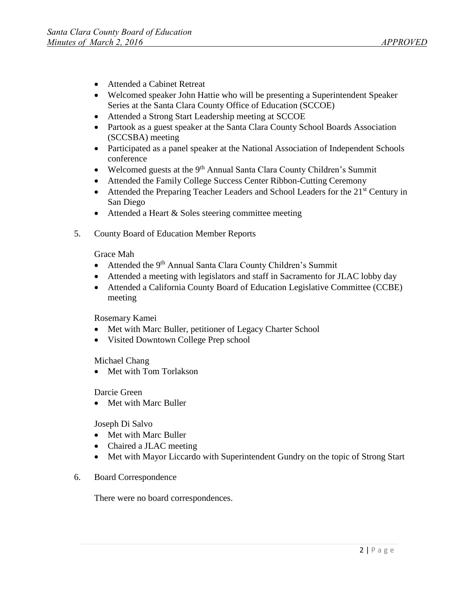- Attended a Cabinet Retreat
- Welcomed speaker John Hattie who will be presenting a Superintendent Speaker Series at the Santa Clara County Office of Education (SCCOE)
- Attended a Strong Start Leadership meeting at SCCOE
- Partook as a guest speaker at the Santa Clara County School Boards Association (SCCSBA) meeting
- Participated as a panel speaker at the National Association of Independent Schools conference
- Welcomed guests at the  $9<sup>th</sup>$  Annual Santa Clara County Children's Summit
- Attended the Family College Success Center Ribbon-Cutting Ceremony
- Attended the Preparing Teacher Leaders and School Leaders for the  $21<sup>st</sup>$  Century in San Diego
- Attended a Heart & Soles steering committee meeting
- 5. County Board of Education Member Reports

Grace Mah

- Attended the 9<sup>th</sup> Annual Santa Clara County Children's Summit
- Attended a meeting with legislators and staff in Sacramento for JLAC lobby day
- Attended a California County Board of Education Legislative Committee (CCBE) meeting

Rosemary Kamei

- Met with Marc Buller, petitioner of Legacy Charter School
- Visited Downtown College Prep school

Michael Chang

• Met with Tom Torlakson

Darcie Green

• Met with Marc Buller

Joseph Di Salvo

- Met with Marc Buller
- Chaired a JLAC meeting
- Met with Mayor Liccardo with Superintendent Gundry on the topic of Strong Start
- 6. Board Correspondence

There were no board correspondences.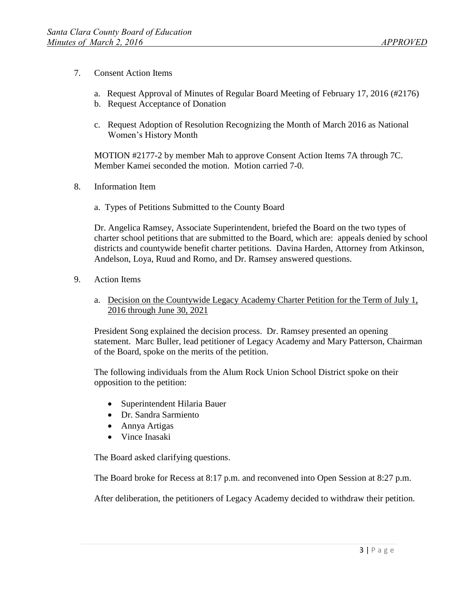- 7. Consent Action Items
	- a. Request Approval of Minutes of Regular Board Meeting of February 17, 2016 (#2176)
	- b. Request Acceptance of Donation
	- c. Request Adoption of Resolution Recognizing the Month of March 2016 as National Women's History Month

MOTION #2177-2 by member Mah to approve Consent Action Items 7A through 7C. Member Kamei seconded the motion. Motion carried 7-0.

- 8. Information Item
	- a. Types of Petitions Submitted to the County Board

Dr. Angelica Ramsey, Associate Superintendent, briefed the Board on the two types of charter school petitions that are submitted to the Board, which are: appeals denied by school districts and countywide benefit charter petitions. Davina Harden, Attorney from Atkinson, Andelson, Loya, Ruud and Romo, and Dr. Ramsey answered questions.

- 9. Action Items
	- a. Decision on the Countywide Legacy Academy Charter Petition for the Term of July 1, 2016 through June 30, 2021

President Song explained the decision process. Dr. Ramsey presented an opening statement. Marc Buller, lead petitioner of Legacy Academy and Mary Patterson, Chairman of the Board, spoke on the merits of the petition.

The following individuals from the Alum Rock Union School District spoke on their opposition to the petition:

- Superintendent Hilaria Bauer
- Dr. Sandra Sarmiento
- Annya Artigas
- Vince Inasaki

The Board asked clarifying questions.

The Board broke for Recess at 8:17 p.m. and reconvened into Open Session at 8:27 p.m.

After deliberation, the petitioners of Legacy Academy decided to withdraw their petition.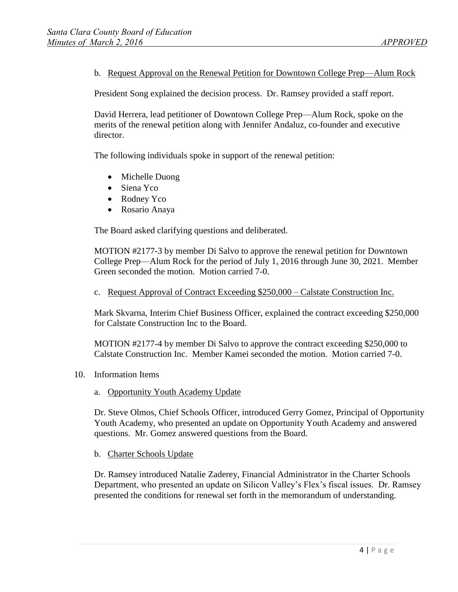b. Request Approval on the Renewal Petition for Downtown College Prep—Alum Rock

President Song explained the decision process. Dr. Ramsey provided a staff report.

David Herrera, lead petitioner of Downtown College Prep—Alum Rock, spoke on the merits of the renewal petition along with Jennifer Andaluz, co-founder and executive director.

The following individuals spoke in support of the renewal petition:

- Michelle Duong
- Siena Yco
- Rodney Yco
- Rosario Anaya

The Board asked clarifying questions and deliberated.

MOTION #2177-3 by member Di Salvo to approve the renewal petition for Downtown College Prep—Alum Rock for the period of July 1, 2016 through June 30, 2021. Member Green seconded the motion. Motion carried 7-0.

c. Request Approval of Contract Exceeding \$250,000 – Calstate Construction Inc.

Mark Skvarna, Interim Chief Business Officer, explained the contract exceeding \$250,000 for Calstate Construction Inc to the Board.

MOTION #2177-4 by member Di Salvo to approve the contract exceeding \$250,000 to Calstate Construction Inc. Member Kamei seconded the motion. Motion carried 7-0.

- 10. Information Items
	- a. Opportunity Youth Academy Update

Dr. Steve Olmos, Chief Schools Officer, introduced Gerry Gomez, Principal of Opportunity Youth Academy, who presented an update on Opportunity Youth Academy and answered questions. Mr. Gomez answered questions from the Board.

b. Charter Schools Update

Dr. Ramsey introduced Natalie Zaderey, Financial Administrator in the Charter Schools Department, who presented an update on Silicon Valley's Flex's fiscal issues. Dr. Ramsey presented the conditions for renewal set forth in the memorandum of understanding.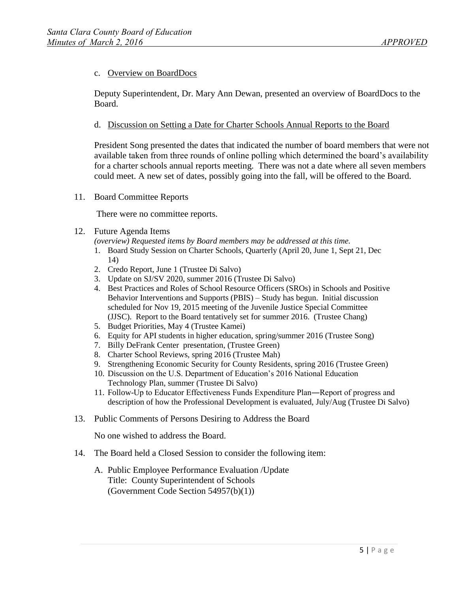## c. Overview on BoardDocs

Deputy Superintendent, Dr. Mary Ann Dewan, presented an overview of BoardDocs to the Board.

## d. Discussion on Setting a Date for Charter Schools Annual Reports to the Board

President Song presented the dates that indicated the number of board members that were not available taken from three rounds of online polling which determined the board's availability for a charter schools annual reports meeting. There was not a date where all seven members could meet. A new set of dates, possibly going into the fall, will be offered to the Board.

### 11. Board Committee Reports

There were no committee reports.

### 12. Future Agenda Items

*(overview) Requested items by Board members may be addressed at this time.* 

- 1. Board Study Session on Charter Schools, Quarterly (April 20, June 1, Sept 21, Dec 14)
- 2. Credo Report, June 1 (Trustee Di Salvo)
- 3. Update on SJ/SV 2020, summer 2016 (Trustee Di Salvo)
- 4. Best Practices and Roles of School Resource Officers (SROs) in Schools and Positive Behavior Interventions and Supports (PBIS) – Study has begun. Initial discussion scheduled for Nov 19, 2015 meeting of the Juvenile Justice Special Committee (JJSC). Report to the Board tentatively set for summer 2016. (Trustee Chang)
- 5. Budget Priorities, May 4 (Trustee Kamei)
- 6. Equity for API students in higher education, spring/summer 2016 (Trustee Song)
- 7. Billy DeFrank Center presentation, (Trustee Green)
- 8. Charter School Reviews, spring 2016 (Trustee Mah)
- 9. Strengthening Economic Security for County Residents, spring 2016 (Trustee Green)
- 10. Discussion on the U.S. Department of Education's 2016 National Education Technology Plan, summer (Trustee Di Salvo)
- 11. Follow-Up to Educator Effectiveness Funds Expenditure Plan―Report of progress and description of how the Professional Development is evaluated, July/Aug (Trustee Di Salvo)
- 13. Public Comments of Persons Desiring to Address the Board

No one wished to address the Board.

- 14. The Board held a Closed Session to consider the following item:
	- A. Public Employee Performance Evaluation /Update Title: County Superintendent of Schools (Government Code Section 54957(b)(1))